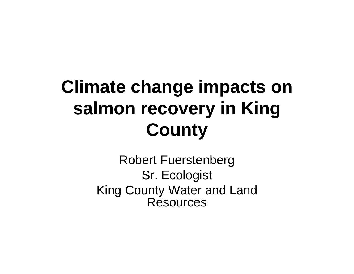## **Climate change impacts on salmon recovery in King County**

Robert Fuerstenberg Sr. Ecologist King County Water and Land Resources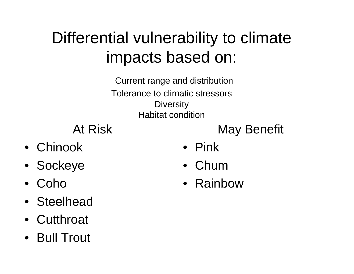#### Differential vulnerability to climate impacts based on:

Current range and distribution Tolerance to climatic stressors **Diversity** Habitat condition

At Risk

May Benefit

- Chinook
- Sockeye
- •Coho
- Steelhead
- Cutthroat
- Bull Trout
- Pink
- Chum
- Rainbow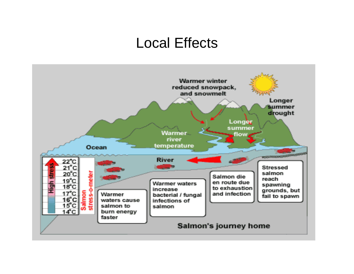#### Local Effects

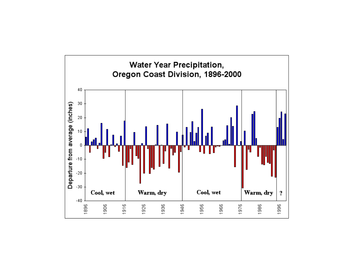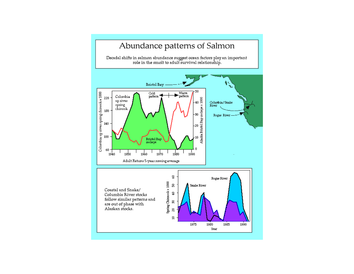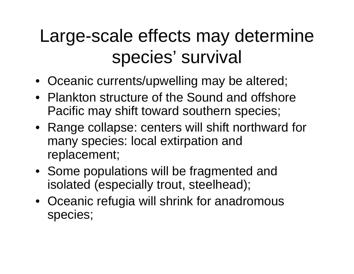### Large-scale effects may determine species' survival

- Oceanic currents/upwelling may be altered;
- Plankton structure of the Sound and offshore Pacific may shift toward southern species;
- Range collapse: centers will shift northward for many species: local extirpation and replacement;
- Some populations will be fragmented and isolated (especially trout, steelhead);
- Oceanic refugia will shrink for anadromous species;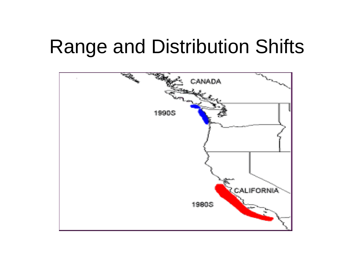## Range and Distribution Shifts

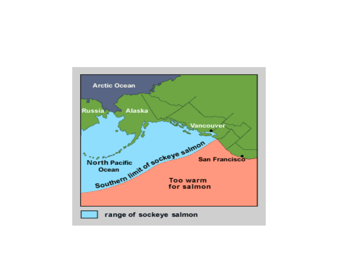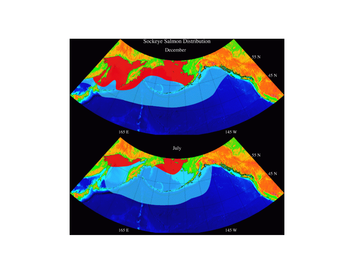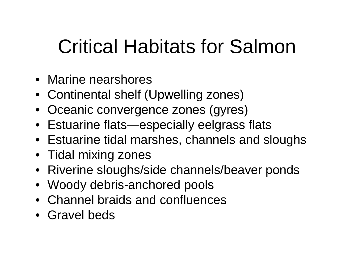# Critical Habitats for Salmon

- Marine nearshores
- Continental shelf (Upwelling zones)
- Oceanic convergence zones (gyres)
- Estuarine flats—especially eelgrass flats
- Estuarine tidal marshes, channels and sloughs
- Tidal mixing zones
- Riverine sloughs/side channels/beaver ponds
- Woody debris-anchored pools
- Channel braids and confluences
- Gravel beds